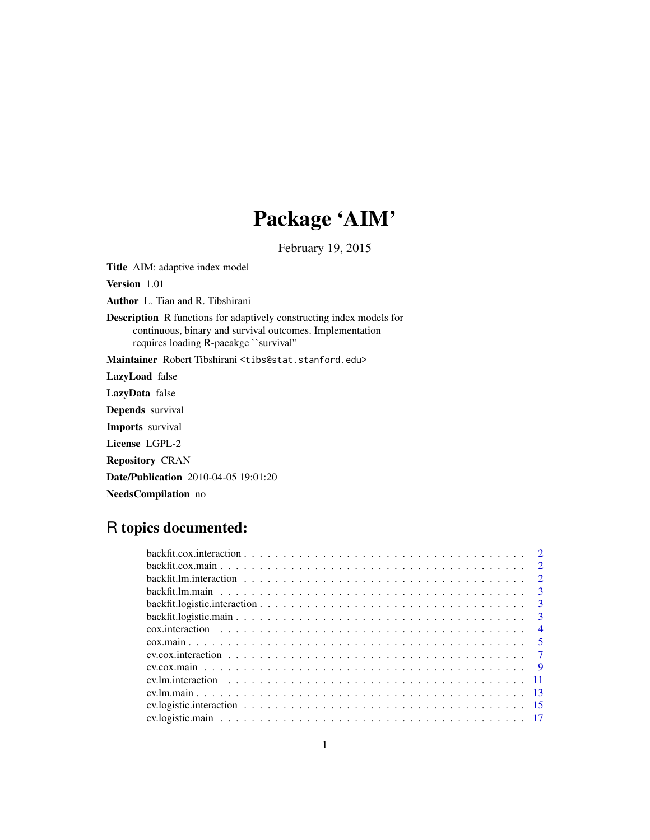## Package 'AIM'

February 19, 2015

Title AIM: adaptive index model

Version 1.01

Author L. Tian and R. Tibshirani

Description R functions for adaptively constructing index models for continuous, binary and survival outcomes. Implementation requires loading R-pacakge ``survival''

Maintainer Robert Tibshirani <tibs@stat.stanford.edu>

LazyLoad false

LazyData false

Depends survival

Imports survival

License LGPL-2

Repository CRAN

Date/Publication 2010-04-05 19:01:20

NeedsCompilation no

## R topics documented:

| $\overline{\mathbf{3}}$ |
|-------------------------|
| $\overline{4}$          |
|                         |
|                         |
|                         |
|                         |
|                         |
|                         |
|                         |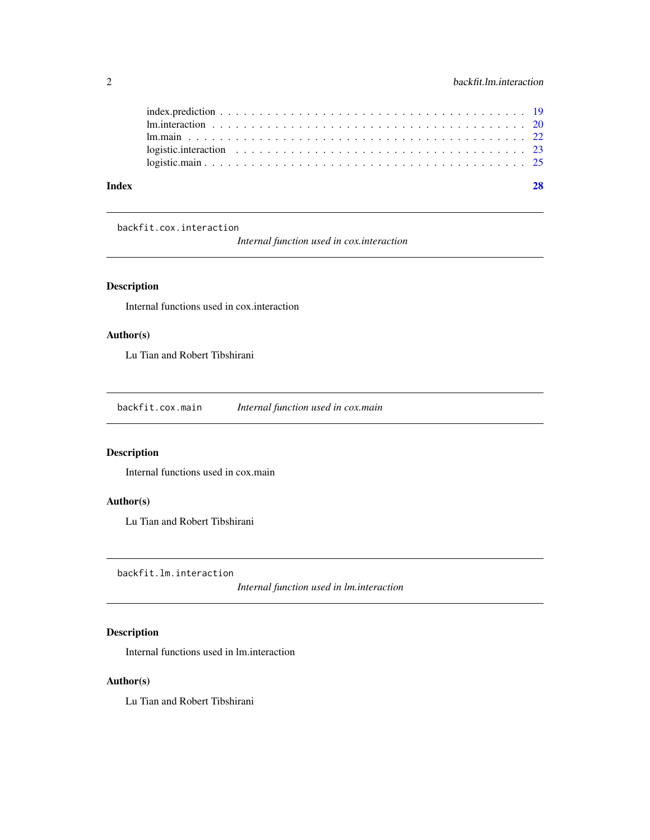<span id="page-1-0"></span>

| Index |  |
|-------|--|
|       |  |
|       |  |
|       |  |
|       |  |
|       |  |

backfit.cox.interaction

*Internal function used in cox.interaction*

## Description

Internal functions used in cox.interaction

## Author(s)

Lu Tian and Robert Tibshirani

backfit.cox.main *Internal function used in cox.main*

## Description

Internal functions used in cox.main

#### Author(s)

Lu Tian and Robert Tibshirani

backfit.lm.interaction

*Internal function used in lm.interaction*

## Description

Internal functions used in lm.interaction

## Author(s)

Lu Tian and Robert Tibshirani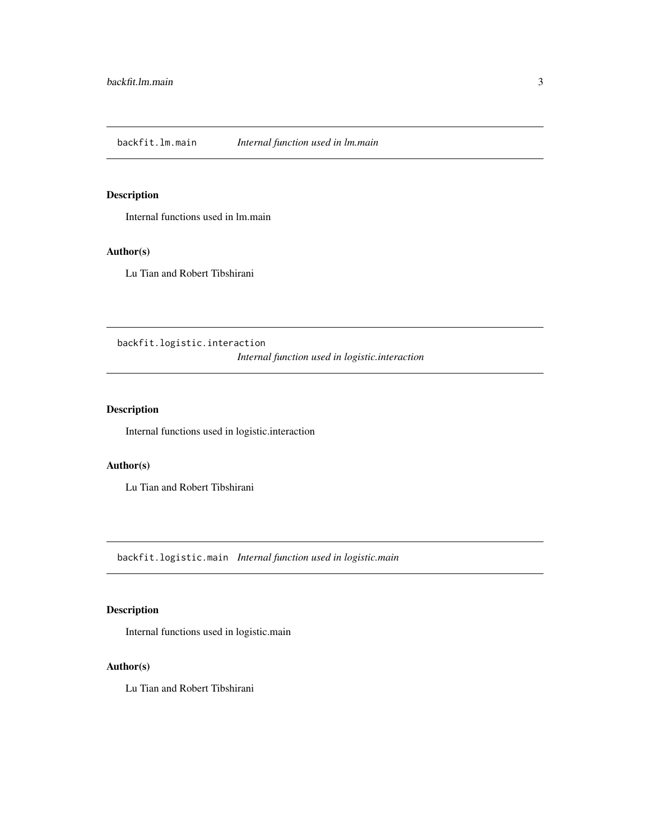<span id="page-2-0"></span>backfit.lm.main *Internal function used in lm.main*

## Description

Internal functions used in lm.main

## Author(s)

Lu Tian and Robert Tibshirani

backfit.logistic.interaction *Internal function used in logistic.interaction*

## Description

Internal functions used in logistic.interaction

## Author(s)

Lu Tian and Robert Tibshirani

backfit.logistic.main *Internal function used in logistic.main*

## Description

Internal functions used in logistic.main

## Author(s)

Lu Tian and Robert Tibshirani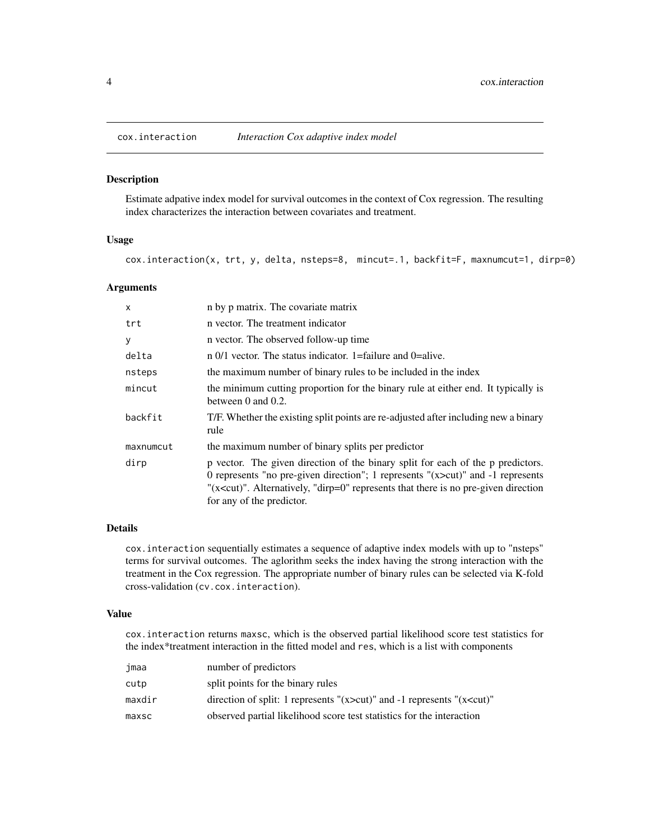<span id="page-3-0"></span>

#### Description

Estimate adpative index model for survival outcomes in the context of Cox regression. The resulting index characterizes the interaction between covariates and treatment.

#### Usage

cox.interaction(x, trt, y, delta, nsteps=8, mincut=.1, backfit=F, maxnumcut=1, dirp=0)

#### Arguments

| $\mathsf{x}$ | n by p matrix. The covariate matrix                                                                                                                                                                                                                                                             |
|--------------|-------------------------------------------------------------------------------------------------------------------------------------------------------------------------------------------------------------------------------------------------------------------------------------------------|
| trt          | n vector. The treatment indicator                                                                                                                                                                                                                                                               |
| У            | n vector. The observed follow-up time                                                                                                                                                                                                                                                           |
| delta        | $\pi$ 0/1 vector. The status indicator. 1=failure and 0=alive.                                                                                                                                                                                                                                  |
| nsteps       | the maximum number of binary rules to be included in the index                                                                                                                                                                                                                                  |
| mincut       | the minimum cutting proportion for the binary rule at either end. It typically is<br>between $0$ and $0.2$ .                                                                                                                                                                                    |
| backfit      | T/F. Whether the existing split points are re-adjusted after including new a binary<br>rule                                                                                                                                                                                                     |
| maxnumcut    | the maximum number of binary splits per predictor                                                                                                                                                                                                                                               |
| dirp         | p vector. The given direction of the binary split for each of the p predictors.<br>0 represents "no pre-given direction"; 1 represents " $(x>cut)$ " and -1 represents<br>" $(x < cut)$ ". Alternatively, "dirp=0" represents that there is no pre-given direction<br>for any of the predictor. |

#### Details

cox.interaction sequentially estimates a sequence of adaptive index models with up to "nsteps" terms for survival outcomes. The aglorithm seeks the index having the strong interaction with the treatment in the Cox regression. The appropriate number of binary rules can be selected via K-fold cross-validation (cv.cox.interaction).

#### Value

cox.interaction returns maxsc, which is the observed partial likelihood score test statistics for the index\*treatment interaction in the fitted model and res, which is a list with components

| jmaa   | number of predictors                                                               |
|--------|------------------------------------------------------------------------------------|
| cutp   | split points for the binary rules                                                  |
| maxdir | direction of split: 1 represents " $(x > cut)$ " and -1 represents " $(x < cut)$ " |
| maxsc  | observed partial likelihood score test statistics for the interaction              |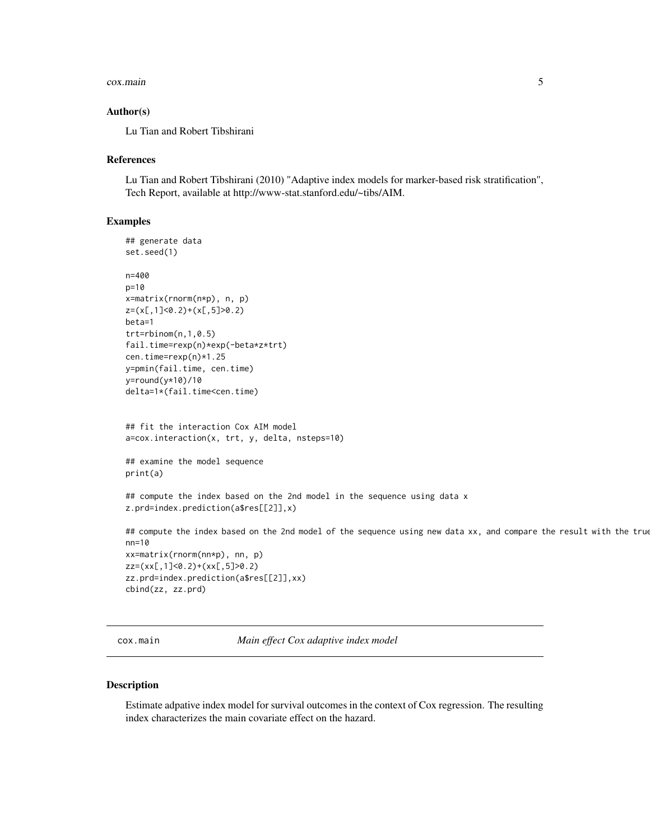#### <span id="page-4-0"></span>cox.main 5

#### Author(s)

Lu Tian and Robert Tibshirani

#### References

Lu Tian and Robert Tibshirani (2010) "Adaptive index models for marker-based risk stratification", Tech Report, available at http://www-stat.stanford.edu/~tibs/AIM.

#### Examples

```
## generate data
set.seed(1)
n=400
p=10
x=matrix(rnorm(n*p), n, p)
z=(x[,1]<0.2)+(x[,5]>0.2)
beta=1
trt=rbinom(n,1,0.5)
fail.time=rexp(n)*exp(-beta*z*trt)
cen.time=rexp(n)*1.25
y=pmin(fail.time, cen.time)
y=round(y*10)/10
delta=1*(fail.time<cen.time)
## fit the interaction Cox AIM model
a=cox.interaction(x, trt, y, delta, nsteps=10)
## examine the model sequence
print(a)
## compute the index based on the 2nd model in the sequence using data x
z.prd=index.prediction(a$res[[2]],x)
## compute the index based on the 2nd model of the sequence using new data xx, and compare the result with the true
nn=10
xx=matrix(rnorm(nn*p), nn, p)
zz=(xx[,1]<0.2)+(xx[,5]>0.2)
zz.prd=index.prediction(a$res[[2]],xx)
cbind(zz, zz.prd)
```
cox.main *Main effect Cox adaptive index model*

#### Description

Estimate adpative index model for survival outcomes in the context of Cox regression. The resulting index characterizes the main covariate effect on the hazard.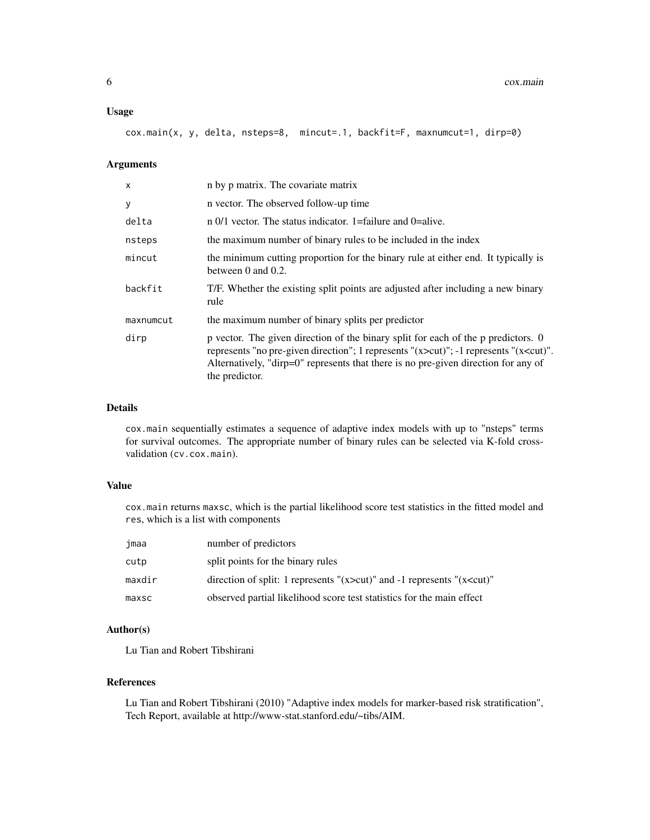#### Usage

cox.main(x, y, delta, nsteps=8, mincut=.1, backfit=F, maxnumcut=1, dirp=0)

#### Arguments

| X         | n by p matrix. The covariate matrix                                                                                                                                                                                                                                                              |
|-----------|--------------------------------------------------------------------------------------------------------------------------------------------------------------------------------------------------------------------------------------------------------------------------------------------------|
| У         | n vector. The observed follow-up time                                                                                                                                                                                                                                                            |
| delta     | $\pi$ 0/1 vector. The status indicator. 1=failure and 0=alive.                                                                                                                                                                                                                                   |
| nsteps    | the maximum number of binary rules to be included in the index                                                                                                                                                                                                                                   |
| mincut    | the minimum cutting proportion for the binary rule at either end. It typically is<br>between $0$ and $0.2$ .                                                                                                                                                                                     |
| backfit   | T/F. Whether the existing split points are adjusted after including a new binary<br>rule                                                                                                                                                                                                         |
| maxnumcut | the maximum number of binary splits per predictor                                                                                                                                                                                                                                                |
| dirp      | p vector. The given direction of the binary split for each of the p predictors. 0<br>represents "no pre-given direction"; 1 represents "(x>cut)"; -1 represents "(x <cut)".<br>Alternatively, "dirp=0" represents that there is no pre-given direction for any of<br/>the predictor.</cut)".<br> |

#### Details

cox.main sequentially estimates a sequence of adaptive index models with up to "nsteps" terms for survival outcomes. The appropriate number of binary rules can be selected via K-fold crossvalidation (cv.cox.main).

## Value

cox.main returns maxsc, which is the partial likelihood score test statistics in the fitted model and res, which is a list with components

| jmaa   | number of predictors                                                               |
|--------|------------------------------------------------------------------------------------|
| cutp   | split points for the binary rules                                                  |
| maxdir | direction of split: 1 represents " $(x > cut)$ " and -1 represents " $(x < cut)$ " |
| maxsc  | observed partial likelihood score test statistics for the main effect              |

## Author(s)

Lu Tian and Robert Tibshirani

## References

Lu Tian and Robert Tibshirani (2010) "Adaptive index models for marker-based risk stratification", Tech Report, available at http://www-stat.stanford.edu/~tibs/AIM.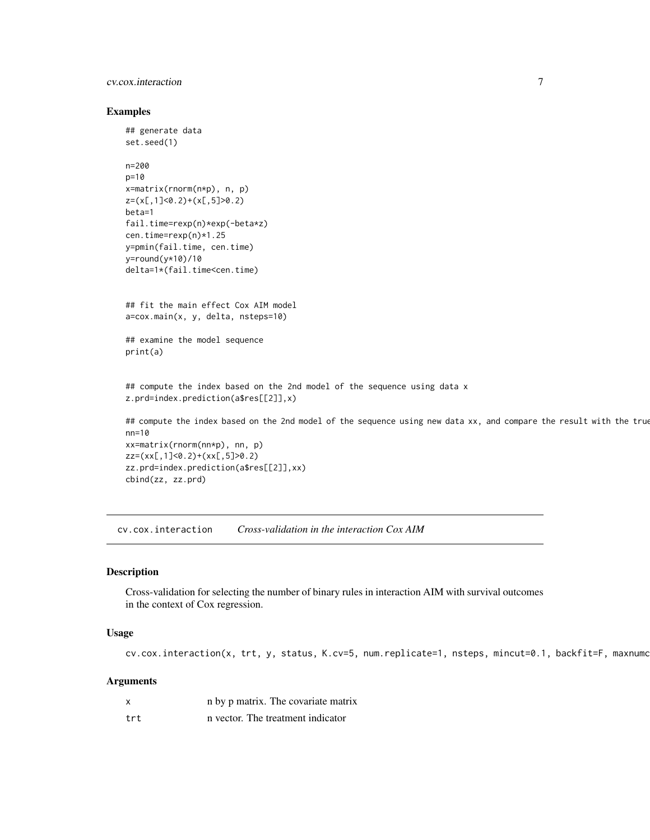## <span id="page-6-0"></span>cv.cox.interaction 7

#### Examples

```
## generate data
set.seed(1)
n=200
p=10
x=matrix(rnorm(n*p), n, p)
z=(x[,1]<0.2)+(x[,5]>0.2)
beta=1
fail.time=rexp(n)*exp(-beta*z)
cen.time=rexp(n)*1.25
y=pmin(fail.time, cen.time)
y=round(y*10)/10
delta=1*(fail.time<cen.time)
## fit the main effect Cox AIM model
a=cox.main(x, y, delta, nsteps=10)
## examine the model sequence
print(a)
## compute the index based on the 2nd model of the sequence using data x
z.prd=index.prediction(a$res[[2]],x)
## compute the index based on the 2nd model of the sequence using new data xx, and compare the result with the true
nn=10
xx=matrix(rnorm(nn*p), nn, p)
zz=(xx[,1]<0.2)+(xx[,5]>0.2)
zz.prd=index.prediction(a$res[[2]],xx)
cbind(zz, zz.prd)
```
cv.cox.interaction *Cross-validation in the interaction Cox AIM*

## Description

Cross-validation for selecting the number of binary rules in interaction AIM with survival outcomes in the context of Cox regression.

#### Usage

cv.cox.interaction(x, trt, y, status, K.cv=5, num.replicate=1, nsteps, mincut=0.1, backfit=F, maxnumc

| x    | n by p matrix. The covariate matrix |
|------|-------------------------------------|
| trt. | n vector. The treatment indicator   |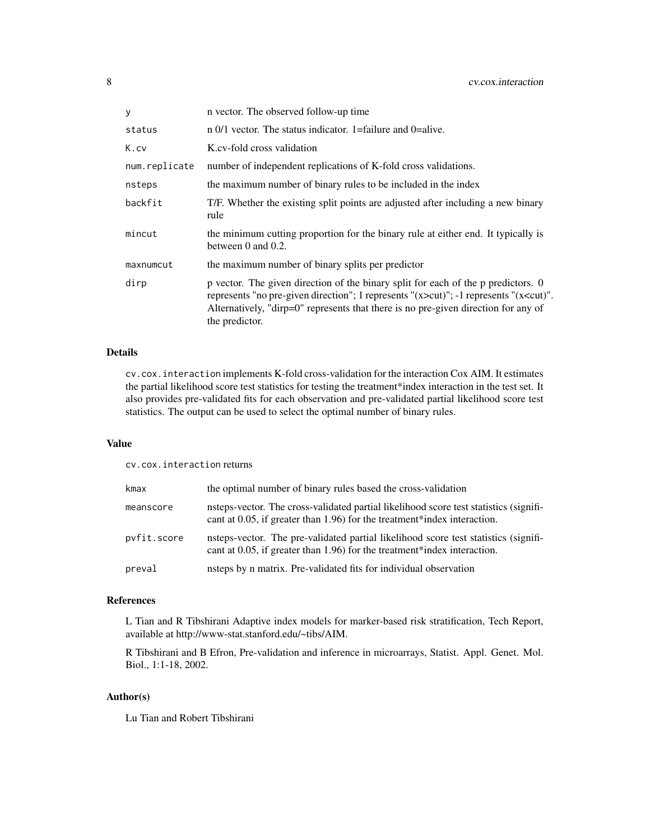| у             | n vector. The observed follow-up time                                                                                                                                                                                                                                                          |
|---------------|------------------------------------------------------------------------------------------------------------------------------------------------------------------------------------------------------------------------------------------------------------------------------------------------|
| status        | $\pi$ 0/1 vector. The status indicator. 1=failure and 0=alive.                                                                                                                                                                                                                                 |
| K.cv          | K.cv-fold cross validation                                                                                                                                                                                                                                                                     |
| num.replicate | number of independent replications of K-fold cross validations.                                                                                                                                                                                                                                |
| nsteps        | the maximum number of binary rules to be included in the index                                                                                                                                                                                                                                 |
| backfit       | T/F. Whether the existing split points are adjusted after including a new binary<br>rule                                                                                                                                                                                                       |
| mincut        | the minimum cutting proportion for the binary rule at either end. It typically is<br>between $0$ and $0.2$ .                                                                                                                                                                                   |
| maxnumcut     | the maximum number of binary splits per predictor                                                                                                                                                                                                                                              |
| dirp          | p vector. The given direction of the binary split for each of the p predictors. 0<br>represents "no pre-given direction"; 1 represents " $(x > cut)$ "; -1 represents " $(x < cut)$ ".<br>Alternatively, "dirp=0" represents that there is no pre-given direction for any of<br>the predictor. |

cv.cox.interaction implements K-fold cross-validation for the interaction Cox AIM. It estimates the partial likelihood score test statistics for testing the treatment\*index interaction in the test set. It also provides pre-validated fits for each observation and pre-validated partial likelihood score test statistics. The output can be used to select the optimal number of binary rules.

## Value

cv.cox.interaction returns

| kmax        | the optimal number of binary rules based the cross-validation                                                                                                        |
|-------------|----------------------------------------------------------------------------------------------------------------------------------------------------------------------|
| meanscore   | nsteps-vector. The cross-validated partial likelihood score test statistics (signifi-<br>cant at $0.05$ , if greater than 1.96) for the treatment*index interaction. |
| pvfit.score | nsteps-vector. The pre-validated partial likelihood score test statistics (signifi-<br>cant at $0.05$ , if greater than 1.96) for the treatment*index interaction.   |
| preval      | nsteps by n matrix. Pre-validated fits for individual observation                                                                                                    |

## References

L Tian and R Tibshirani Adaptive index models for marker-based risk stratification, Tech Report, available at http://www-stat.stanford.edu/~tibs/AIM.

R Tibshirani and B Efron, Pre-validation and inference in microarrays, Statist. Appl. Genet. Mol. Biol., 1:1-18, 2002.

#### Author(s)

Lu Tian and Robert Tibshirani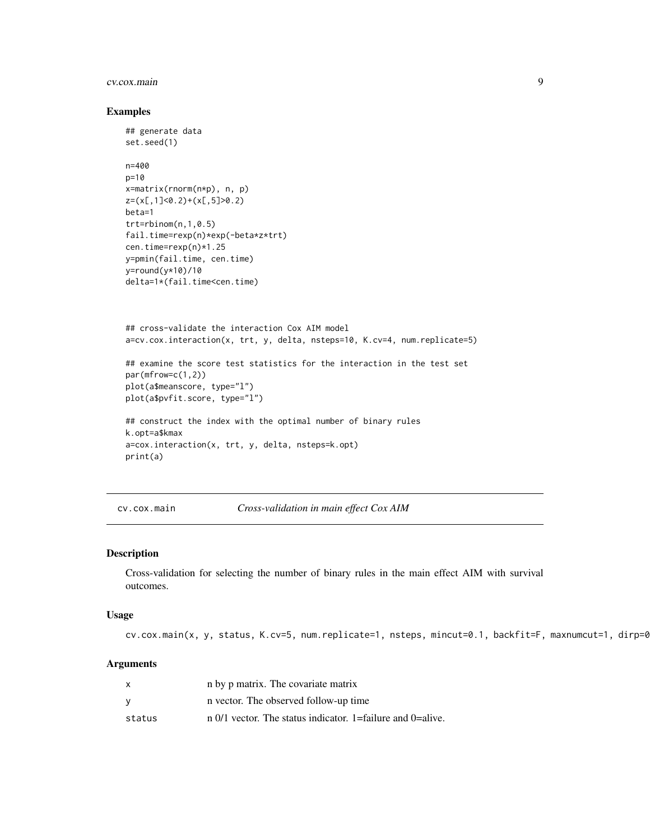#### <span id="page-8-0"></span>cv.cox.main 9

#### Examples

```
## generate data
set.seed(1)
n=400
p=10
x=matrix(rnorm(n*p), n, p)
z=(x[,1]<0.2)+(x[,5]>0.2)
beta=1
trt=rbinom(n,1,0.5)
fail.time=rexp(n)*exp(-beta*z*trt)
cen.time=rexp(n)*1.25
y=pmin(fail.time, cen.time)
y=round(y*10)/10
delta=1*(fail.time<cen.time)
## cross-validate the interaction Cox AIM model
a=cv.cox.interaction(x, trt, y, delta, nsteps=10, K.cv=4, num.replicate=5)
## examine the score test statistics for the interaction in the test set
par(mfrow=c(1,2))
plot(a$meanscore, type="l")
plot(a$pvfit.score, type="l")
## construct the index with the optimal number of binary rules
k.opt=a$kmax
a=cox.interaction(x, trt, y, delta, nsteps=k.opt)
print(a)
```
cv.cox.main *Cross-validation in main effect Cox AIM*

#### Description

Cross-validation for selecting the number of binary rules in the main effect AIM with survival outcomes.

## Usage

cv.cox.main(x, y, status, K.cv=5, num.replicate=1, nsteps, mincut=0.1, backfit=F, maxnumcut=1, dirp=0)

|        | n by p matrix. The covariate matrix                            |
|--------|----------------------------------------------------------------|
|        | n vector. The observed follow-up time                          |
| status | $\pi$ 0/1 vector. The status indicator. 1=failure and 0=alive. |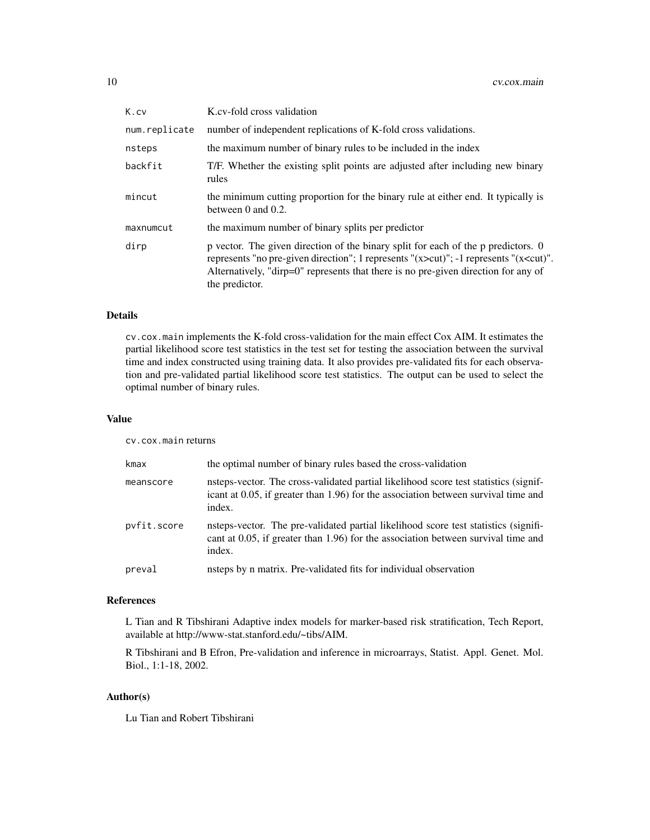| K.cv          | K.cv-fold cross validation                                                                                                                                                                                                                                                                     |
|---------------|------------------------------------------------------------------------------------------------------------------------------------------------------------------------------------------------------------------------------------------------------------------------------------------------|
| num.replicate | number of independent replications of K-fold cross validations.                                                                                                                                                                                                                                |
| nsteps        | the maximum number of binary rules to be included in the index                                                                                                                                                                                                                                 |
| backfit       | T/F. Whether the existing split points are adjusted after including new binary<br>rules                                                                                                                                                                                                        |
| mincut        | the minimum cutting proportion for the binary rule at either end. It typically is<br>between $0$ and $0.2$ .                                                                                                                                                                                   |
| maxnumcut     | the maximum number of binary splits per predictor                                                                                                                                                                                                                                              |
| dirp          | p vector. The given direction of the binary split for each of the p predictors. 0<br>represents "no pre-given direction"; 1 represents " $(x > cut)$ "; -1 represents " $(x < cut)$ ".<br>Alternatively, "dirp=0" represents that there is no pre-given direction for any of<br>the predictor. |

cv.cox.main implements the K-fold cross-validation for the main effect Cox AIM. It estimates the partial likelihood score test statistics in the test set for testing the association between the survival time and index constructed using training data. It also provides pre-validated fits for each observation and pre-validated partial likelihood score test statistics. The output can be used to select the optimal number of binary rules.

#### Value

cv.cox.main returns

| kmax        | the optimal number of binary rules based the cross-validation                                                                                                                        |
|-------------|--------------------------------------------------------------------------------------------------------------------------------------------------------------------------------------|
| meanscore   | nsteps-vector. The cross-validated partial likelihood score test statistics (signif-<br>icant at 0.05, if greater than 1.96) for the association between survival time and<br>index. |
| pvfit.score | nsteps-vector. The pre-validated partial likelihood score test statistics (signifi-<br>cant at 0.05, if greater than 1.96) for the association between survival time and<br>index.   |
| preval      | nsteps by n matrix. Pre-validated fits for individual observation                                                                                                                    |

## References

L Tian and R Tibshirani Adaptive index models for marker-based risk stratification, Tech Report, available at http://www-stat.stanford.edu/~tibs/AIM.

R Tibshirani and B Efron, Pre-validation and inference in microarrays, Statist. Appl. Genet. Mol. Biol., 1:1-18, 2002.

#### Author(s)

Lu Tian and Robert Tibshirani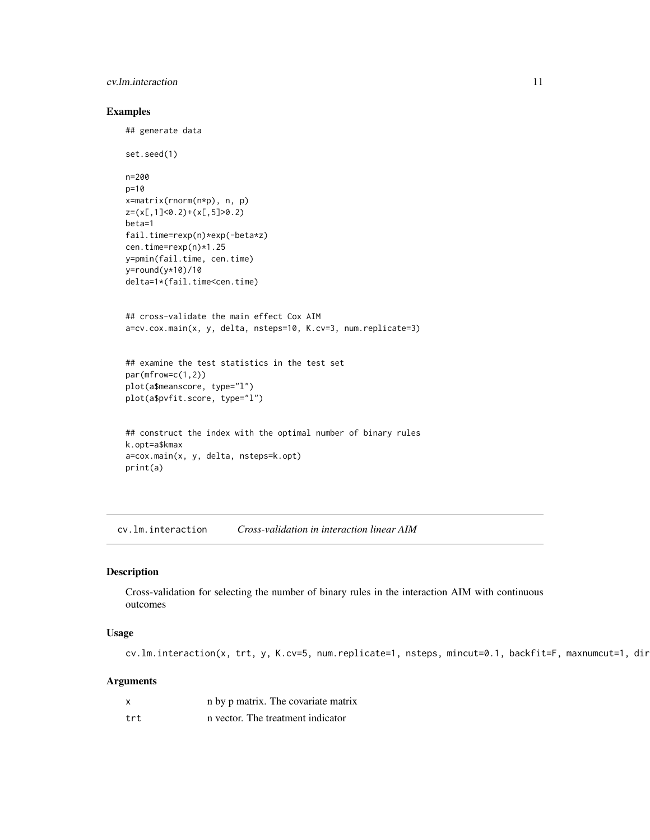## <span id="page-10-0"></span>cv.lm.interaction 11

#### Examples

```
## generate data
set.seed(1)
n=200
p=10
x=matrix(rnorm(n*p), n, p)
z=(x[,1]<0.2)+(x[,5]>0.2)
beta=1
fail.time=rexp(n)*exp(-beta*z)
cen.time=rexp(n)*1.25
y=pmin(fail.time, cen.time)
y=round(y*10)/10
delta=1*(fail.time<cen.time)
## cross-validate the main effect Cox AIM
a=cv.cox.main(x, y, delta, nsteps=10, K.cv=3, num.replicate=3)
## examine the test statistics in the test set
par(mfrow=c(1,2))
plot(a$meanscore, type="l")
plot(a$pvfit.score, type="l")
## construct the index with the optimal number of binary rules
k.opt=a$kmax
a=cox.main(x, y, delta, nsteps=k.opt)
print(a)
```
cv.lm.interaction *Cross-validation in interaction linear AIM*

## Description

Cross-validation for selecting the number of binary rules in the interaction AIM with continuous outcomes

#### Usage

cv.lm.interaction(x, trt, y, K.cv=5, num.replicate=1, nsteps, mincut=0.1, backfit=F, maxnumcut=1, dir

| X   | n by p matrix. The covariate matrix |
|-----|-------------------------------------|
| trt | n vector. The treatment indicator   |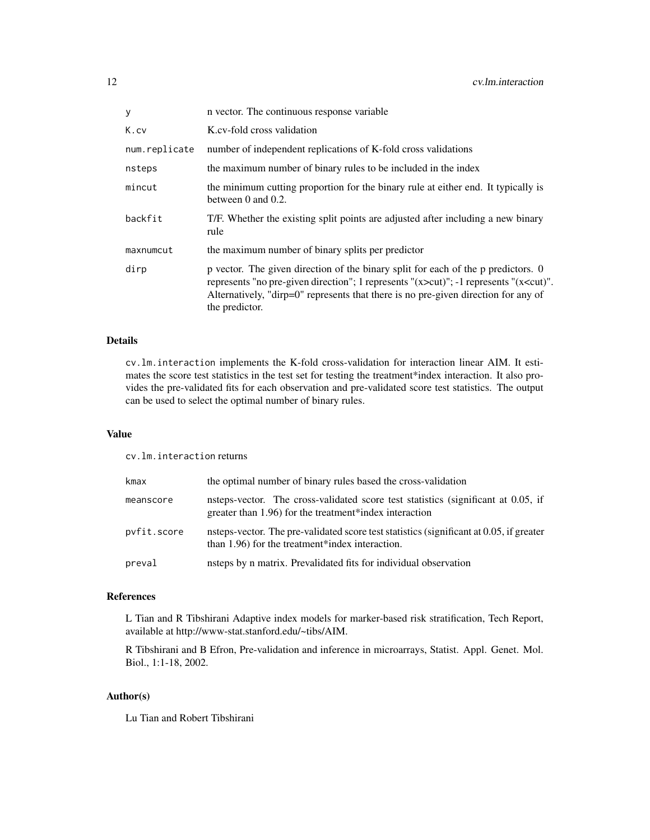| у             | n vector. The continuous response variable                                                                                                                                                                                                                                                     |
|---------------|------------------------------------------------------------------------------------------------------------------------------------------------------------------------------------------------------------------------------------------------------------------------------------------------|
| K.cv          | K.cv-fold cross validation                                                                                                                                                                                                                                                                     |
| num.replicate | number of independent replications of K-fold cross validations                                                                                                                                                                                                                                 |
| nsteps        | the maximum number of binary rules to be included in the index                                                                                                                                                                                                                                 |
| mincut        | the minimum cutting proportion for the binary rule at either end. It typically is<br>between $0$ and $0.2$ .                                                                                                                                                                                   |
| backfit       | T/F. Whether the existing split points are adjusted after including a new binary<br>rule                                                                                                                                                                                                       |
| maxnumcut     | the maximum number of binary splits per predictor                                                                                                                                                                                                                                              |
| dirp          | p vector. The given direction of the binary split for each of the p predictors. 0<br>represents "no pre-given direction"; 1 represents " $(x > cut)$ "; -1 represents " $(x < cut)$ ".<br>Alternatively, "dirp=0" represents that there is no pre-given direction for any of<br>the predictor. |

cv.lm.interaction implements the K-fold cross-validation for interaction linear AIM. It estimates the score test statistics in the test set for testing the treatment\*index interaction. It also provides the pre-validated fits for each observation and pre-validated score test statistics. The output can be used to select the optimal number of binary rules.

#### Value

cv.lm.interaction returns

| kmax        | the optimal number of binary rules based the cross-validation                                                                               |
|-------------|---------------------------------------------------------------------------------------------------------------------------------------------|
| meanscore   | nsteps-vector. The cross-validated score test statistics (significant at 0.05, if<br>greater than 1.96) for the treatment*index interaction |
| pyfit.score | nsteps-vector. The pre-validated score test statistics (significant at 0.05, if greater<br>than 1.96) for the treatment*index interaction.  |
| preval      | nsteps by n matrix. Prevalidated fits for individual observation                                                                            |

#### References

L Tian and R Tibshirani Adaptive index models for marker-based risk stratification, Tech Report, available at http://www-stat.stanford.edu/~tibs/AIM.

R Tibshirani and B Efron, Pre-validation and inference in microarrays, Statist. Appl. Genet. Mol. Biol., 1:1-18, 2002.

#### Author(s)

Lu Tian and Robert Tibshirani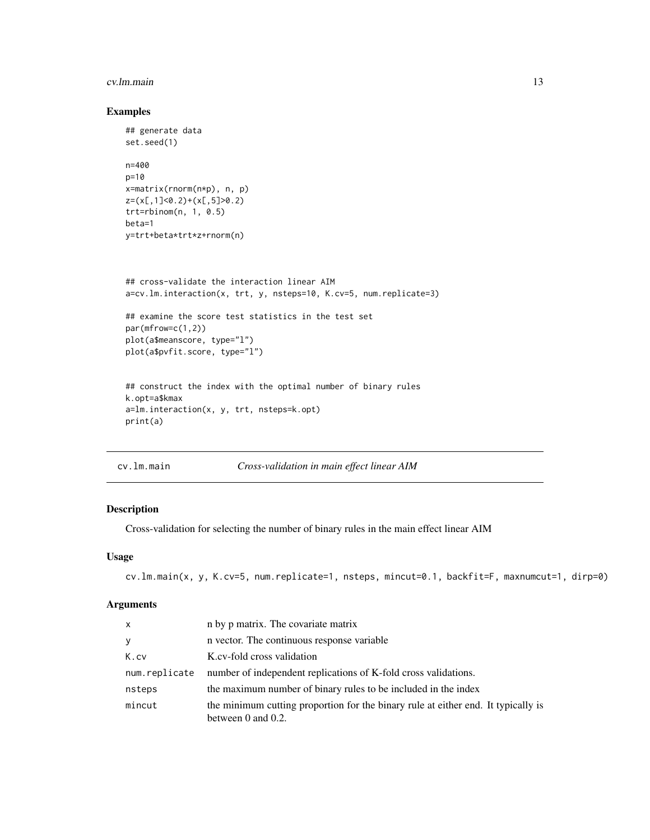#### <span id="page-12-0"></span>cv.lm.main 13

## Examples

```
## generate data
set.seed(1)
n=400
p=10
x=matrix(rnorm(n*p), n, p)
z=(x[,1]<0.2)+(x[,5]>0.2)
trt=rbinom(n, 1, 0.5)
beta=1
y=trt+beta*trt*z+rnorm(n)
## cross-validate the interaction linear AIM
a=cv.lm.interaction(x, trt, y, nsteps=10, K.cv=5, num.replicate=3)
## examine the score test statistics in the test set
par(mfrow=c(1,2))
plot(a$meanscore, type="l")
plot(a$pvfit.score, type="l")
## construct the index with the optimal number of binary rules
k.opt=a$kmax
a=lm.interaction(x, y, trt, nsteps=k.opt)
print(a)
```
cv.lm.main *Cross-validation in main effect linear AIM*

## Description

Cross-validation for selecting the number of binary rules in the main effect linear AIM

#### Usage

```
cv.lm.main(x, y, K.cv=5, num.replicate=1, nsteps, mincut=0.1, backfit=F, maxnumcut=1, dirp=0)
```

| $\mathsf{x}$  | n by p matrix. The covariate matrix                                                                     |
|---------------|---------------------------------------------------------------------------------------------------------|
| y             | n vector. The continuous response variable                                                              |
| K.cv          | K.cv-fold cross validation                                                                              |
| num.replicate | number of independent replications of K-fold cross validations.                                         |
| nsteps        | the maximum number of binary rules to be included in the index                                          |
| mincut        | the minimum cutting proportion for the binary rule at either end. It typically is<br>between 0 and 0.2. |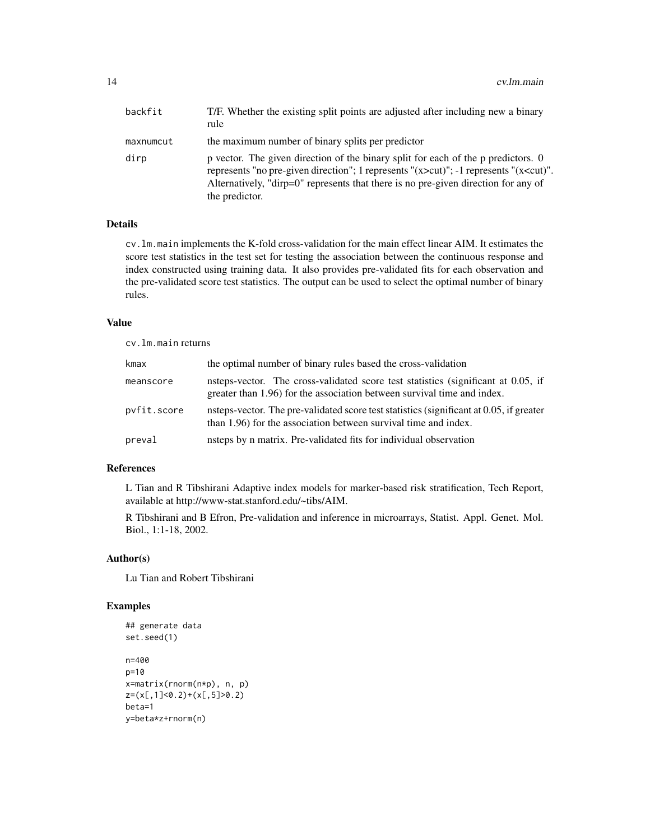| backfit   | T/F. Whether the existing split points are adjusted after including new a binary<br>rule                                                                                                                                                                                                       |
|-----------|------------------------------------------------------------------------------------------------------------------------------------------------------------------------------------------------------------------------------------------------------------------------------------------------|
| maxnumcut | the maximum number of binary splits per predictor                                                                                                                                                                                                                                              |
| dirp      | p vector. The given direction of the binary split for each of the p predictors. 0<br>represents "no pre-given direction"; 1 represents " $(x > cut)$ "; -1 represents " $(x < cut)$ ".<br>Alternatively, "dirp=0" represents that there is no pre-given direction for any of<br>the predictor. |

cv.lm.main implements the K-fold cross-validation for the main effect linear AIM. It estimates the score test statistics in the test set for testing the association between the continuous response and index constructed using training data. It also provides pre-validated fits for each observation and the pre-validated score test statistics. The output can be used to select the optimal number of binary rules.

#### Value

cv.lm.main returns

| kmax        | the optimal number of binary rules based the cross-validation                                                                                                |
|-------------|--------------------------------------------------------------------------------------------------------------------------------------------------------------|
| meanscore   | nsteps-vector. The cross-validated score test statistics (significant at 0.05, if<br>greater than 1.96) for the association between survival time and index. |
| pvfit.score | nsteps-vector. The pre-validated score test statistics (significant at 0.05, if greater<br>than 1.96) for the association between survival time and index.   |
| preval      | nsteps by n matrix. Pre-validated fits for individual observation                                                                                            |

## References

L Tian and R Tibshirani Adaptive index models for marker-based risk stratification, Tech Report, available at http://www-stat.stanford.edu/~tibs/AIM.

R Tibshirani and B Efron, Pre-validation and inference in microarrays, Statist. Appl. Genet. Mol. Biol., 1:1-18, 2002.

#### Author(s)

Lu Tian and Robert Tibshirani

## Examples

```
## generate data
set.seed(1)
n=400
p=10
x=matrix(rnorm(n*p), n, p)
z=(x[,1]<0.2)+(x[,5]>0.2)
beta=1
y=beta*z+rnorm(n)
```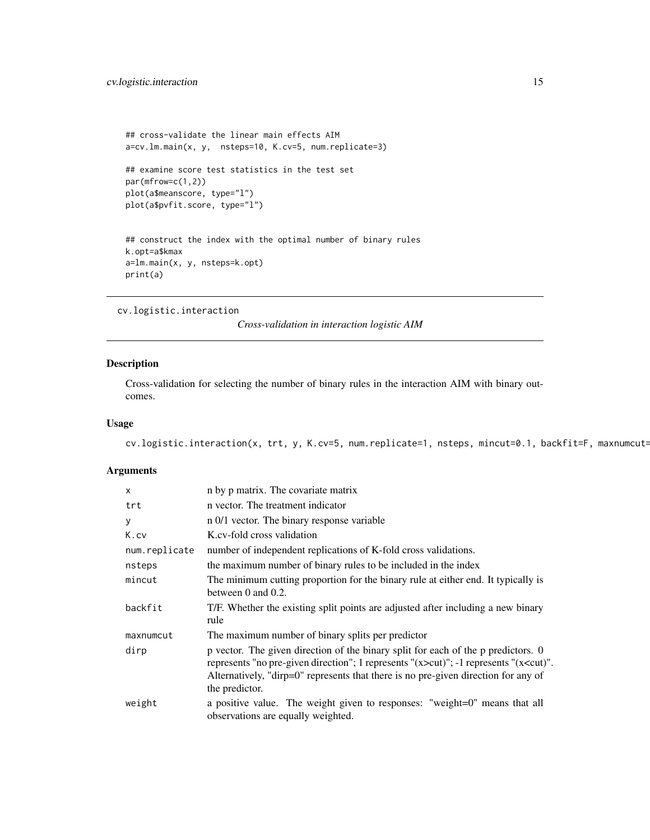```
## cross-validate the linear main effects AIM
a=cv.lm.main(x, y, nsteps=10, K.cv=5, num.replicate=3)
## examine score test statistics in the test set
par(mfrow=c(1,2))
plot(a$meanscore, type="l")
plot(a$pvfit.score, type="l")
## construct the index with the optimal number of binary rules
k.opt=a$kmax
a=lm.main(x, y, nsteps=k.opt)
print(a)
```
cv.logistic.interaction

*Cross-validation in interaction logistic AIM*

#### Description

Cross-validation for selecting the number of binary rules in the interaction AIM with binary outcomes.

## Usage

cv.logistic.interaction(x, trt, y, K.cv=5, num.replicate=1, nsteps, mincut=0.1, backfit=F, maxnumcut=

| $\mathsf{x}$  | n by p matrix. The covariate matrix                                                                                                                                                                                                                                                              |
|---------------|--------------------------------------------------------------------------------------------------------------------------------------------------------------------------------------------------------------------------------------------------------------------------------------------------|
| trt           | n vector. The treatment indicator                                                                                                                                                                                                                                                                |
| У             | n 0/1 vector. The binary response variable                                                                                                                                                                                                                                                       |
| K.cv          | K.cv-fold cross validation                                                                                                                                                                                                                                                                       |
| num.replicate | number of independent replications of K-fold cross validations.                                                                                                                                                                                                                                  |
| nsteps        | the maximum number of binary rules to be included in the index                                                                                                                                                                                                                                   |
| mincut        | The minimum cutting proportion for the binary rule at either end. It typically is<br>between $0$ and $0.2$ .                                                                                                                                                                                     |
| backfit       | T/F. Whether the existing split points are adjusted after including a new binary<br>rule                                                                                                                                                                                                         |
| maxnumcut     | The maximum number of binary splits per predictor                                                                                                                                                                                                                                                |
| dirp          | p vector. The given direction of the binary split for each of the p predictors. 0<br>represents "no pre-given direction"; 1 represents "(x>cut)"; -1 represents "(x <cut)".<br>Alternatively, "dirp=0" represents that there is no pre-given direction for any of<br/>the predictor.</cut)".<br> |
| weight        | a positive value. The weight given to responses: "weight=0" means that all<br>observations are equally weighted.                                                                                                                                                                                 |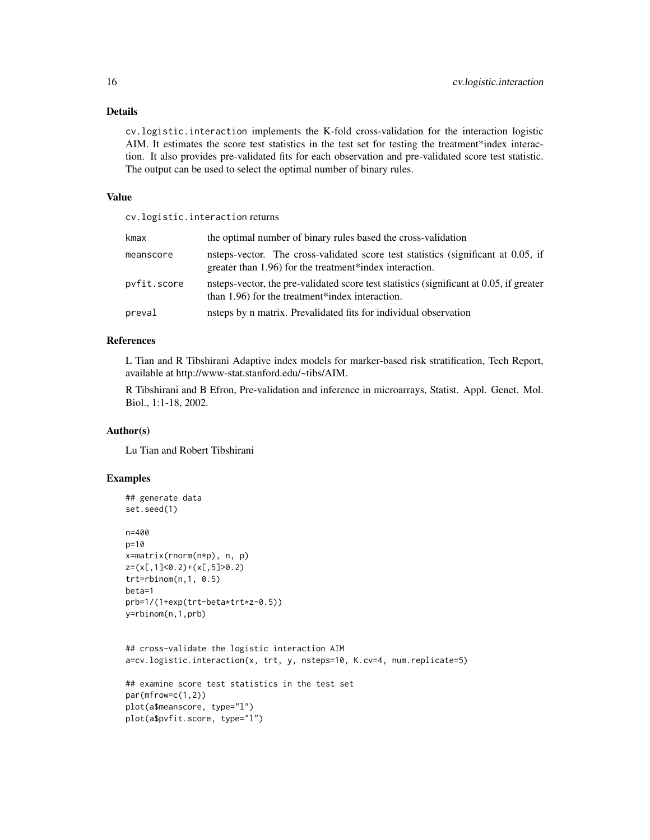cv.logistic.interaction implements the K-fold cross-validation for the interaction logistic AIM. It estimates the score test statistics in the test set for testing the treatment\*index interaction. It also provides pre-validated fits for each observation and pre-validated score test statistic. The output can be used to select the optimal number of binary rules.

#### Value

cv.logistic.interaction returns

| kmax        | the optimal number of binary rules based the cross-validation                                                                                |
|-------------|----------------------------------------------------------------------------------------------------------------------------------------------|
| meanscore   | nsteps-vector. The cross-validated score test statistics (significant at 0.05, if<br>greater than 1.96) for the treatment*index interaction. |
| pvfit.score | nsteps-vector, the pre-validated score test statistics (significant at 0.05, if greater<br>than 1.96) for the treatment*index interaction.   |
| preval      | nsteps by n matrix. Prevalidated fits for individual observation                                                                             |

### References

L Tian and R Tibshirani Adaptive index models for marker-based risk stratification, Tech Report, available at http://www-stat.stanford.edu/~tibs/AIM.

R Tibshirani and B Efron, Pre-validation and inference in microarrays, Statist. Appl. Genet. Mol. Biol., 1:1-18, 2002.

#### Author(s)

Lu Tian and Robert Tibshirani

### Examples

```
## generate data
set.seed(1)
n=400
p=10
x=matrix(rnorm(n*p), n, p)
z=(x[,1]<0.2)+(x[,5]>0.2)
trt=rbinom(n,1, 0.5)
beta=1
prb=1/(1+exp(trt-beta*trt*z-0.5))
y=rbinom(n,1,prb)
## cross-validate the logistic interaction AIM
a=cv.logistic.interaction(x, trt, y, nsteps=10, K.cv=4, num.replicate=5)
## examine score test statistics in the test set
par(mfrow=c(1,2))
plot(a$meanscore, type="l")
plot(a$pvfit.score, type="l")
```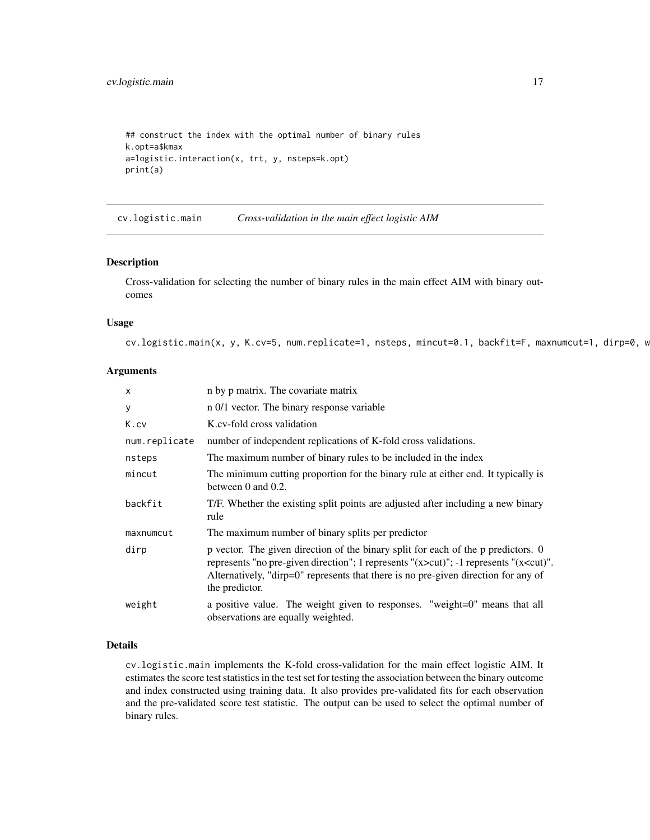## <span id="page-16-0"></span>cv.logistic.main 17

```
## construct the index with the optimal number of binary rules
k.opt=a$kmax
a=logistic.interaction(x, trt, y, nsteps=k.opt)
print(a)
```
cv.logistic.main *Cross-validation in the main effect logistic AIM*

## Description

Cross-validation for selecting the number of binary rules in the main effect AIM with binary outcomes

#### Usage

cv.logistic.main(x, y, K.cv=5, num.replicate=1, nsteps, mincut=0.1, backfit=F, maxnumcut=1, dirp=0, w

#### Arguments

| $\times$      | n by p matrix. The covariate matrix                                                                                                                                                                                                                                                            |
|---------------|------------------------------------------------------------------------------------------------------------------------------------------------------------------------------------------------------------------------------------------------------------------------------------------------|
| У             | n 0/1 vector. The binary response variable                                                                                                                                                                                                                                                     |
| K.cv          | K.cv-fold cross validation                                                                                                                                                                                                                                                                     |
| num.replicate | number of independent replications of K-fold cross validations.                                                                                                                                                                                                                                |
| nsteps        | The maximum number of binary rules to be included in the index                                                                                                                                                                                                                                 |
| mincut        | The minimum cutting proportion for the binary rule at either end. It typically is<br>between $0$ and $0.2$ .                                                                                                                                                                                   |
| backfit       | T/F. Whether the existing split points are adjusted after including a new binary<br>rule                                                                                                                                                                                                       |
| maxnumcut     | The maximum number of binary splits per predictor                                                                                                                                                                                                                                              |
| dirp          | p vector. The given direction of the binary split for each of the p predictors. 0<br>represents "no pre-given direction"; 1 represents " $(x > cut)$ "; -1 represents " $(x < cut)$ ".<br>Alternatively, "dirp=0" represents that there is no pre-given direction for any of<br>the predictor. |
| weight        | a positive value. The weight given to responses. "weight=0" means that all<br>observations are equally weighted.                                                                                                                                                                               |

#### Details

cv.logistic.main implements the K-fold cross-validation for the main effect logistic AIM. It estimates the score test statistics in the test set for testing the association between the binary outcome and index constructed using training data. It also provides pre-validated fits for each observation and the pre-validated score test statistic. The output can be used to select the optimal number of binary rules.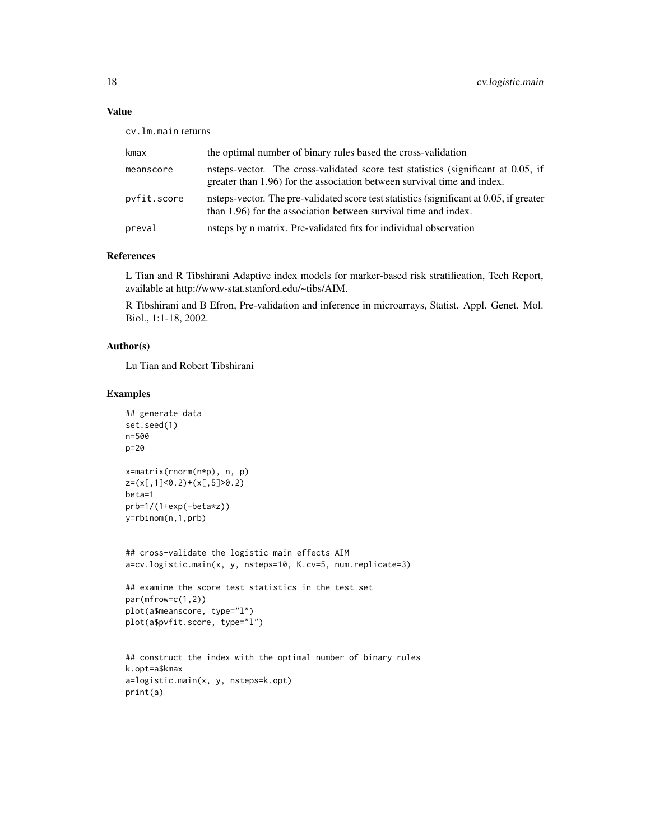## Value

cv.lm.main returns

| kmax        | the optimal number of binary rules based the cross-validation                                                                                                |
|-------------|--------------------------------------------------------------------------------------------------------------------------------------------------------------|
| meanscore   | nsteps-vector. The cross-validated score test statistics (significant at 0.05, if<br>greater than 1.96) for the association between survival time and index. |
| pvfit.score | nsteps-vector. The pre-validated score test statistics (significant at 0.05, if greater<br>than 1.96) for the association between survival time and index.   |
| preval      | nsteps by n matrix. Pre-validated fits for individual observation                                                                                            |

## References

L Tian and R Tibshirani Adaptive index models for marker-based risk stratification, Tech Report, available at http://www-stat.stanford.edu/~tibs/AIM.

R Tibshirani and B Efron, Pre-validation and inference in microarrays, Statist. Appl. Genet. Mol. Biol., 1:1-18, 2002.

## Author(s)

Lu Tian and Robert Tibshirani

#### Examples

```
## generate data
set.seed(1)
n=500
p=20
x=matrix(rnorm(n*p), n, p)
z=(x[,1]<0.2)+(x[,5]>0.2)
beta=1
prb=1/(1+exp(-beta*z))
y=rbinom(n,1,prb)
## cross-validate the logistic main effects AIM
a=cv.logistic.main(x, y, nsteps=10, K.cv=5, num.replicate=3)
## examine the score test statistics in the test set
par(mfrow=c(1,2))
plot(a$meanscore, type="l")
plot(a$pvfit.score, type="l")
## construct the index with the optimal number of binary rules
k.opt=a$kmax
a=logistic.main(x, y, nsteps=k.opt)
print(a)
```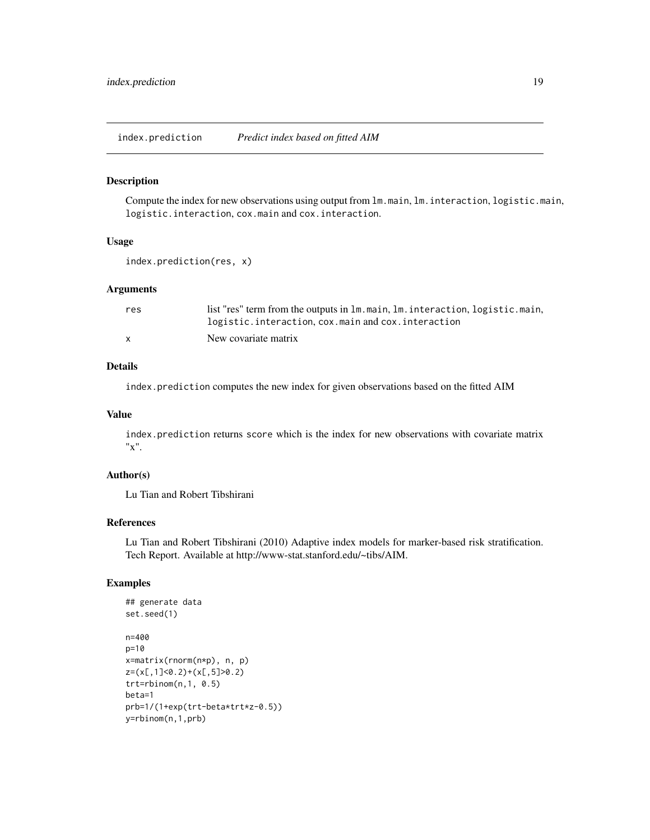<span id="page-18-0"></span>index.prediction *Predict index based on fitted AIM*

#### Description

Compute the index for new observations using output from lm.main, lm.interaction, logistic.main, logistic.interaction, cox.main and cox.interaction.

#### Usage

```
index.prediction(res, x)
```
#### Arguments

| res          | list "res" term from the outputs in 1m. main, 1m. interaction, logistic. main, |
|--------------|--------------------------------------------------------------------------------|
|              | logistic.interaction, cox.main and cox.interaction                             |
| $\mathbf{x}$ | New covariate matrix                                                           |

## Details

index.prediction computes the new index for given observations based on the fitted AIM

#### Value

index.prediction returns score which is the index for new observations with covariate matrix "x".

#### Author(s)

Lu Tian and Robert Tibshirani

## References

Lu Tian and Robert Tibshirani (2010) Adaptive index models for marker-based risk stratification. Tech Report. Available at http://www-stat.stanford.edu/~tibs/AIM.

## Examples

```
## generate data
set.seed(1)
n=400
p=10
x=matrix(rnorm(n*p), n, p)
z=(x[,1]<0.2)+(x[,5]>0.2)
trt=rbinom(n,1, 0.5)
beta=1
prb=1/(1+exp(trt-beta*trt*z-0.5))
y=rbinom(n,1,prb)
```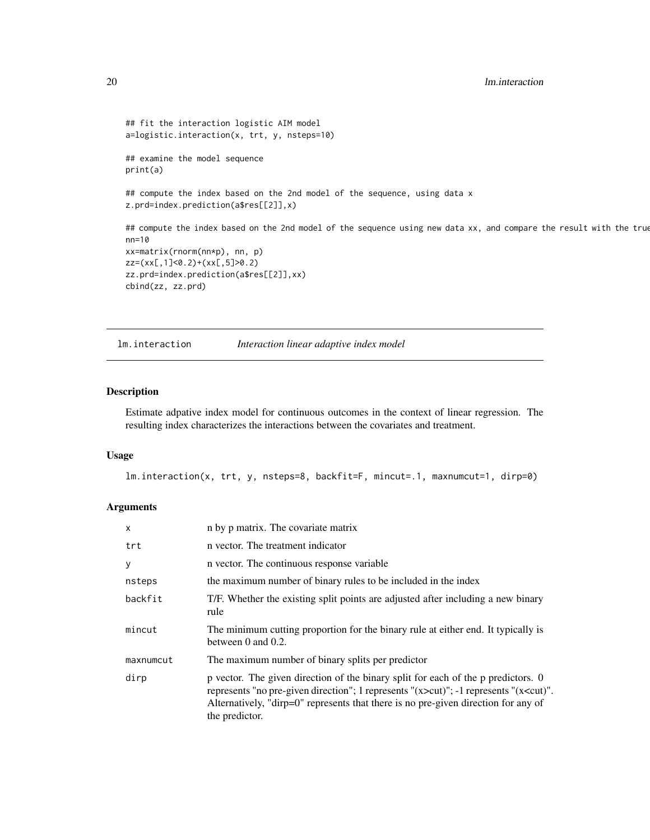```
## fit the interaction logistic AIM model
a=logistic.interaction(x, trt, y, nsteps=10)
## examine the model sequence
print(a)
## compute the index based on the 2nd model of the sequence, using data x
z.prd=index.prediction(a$res[[2]],x)
## compute the index based on the 2nd model of the sequence using new data xx, and compare the result with the true
nn=10
xx=matrix(rnorm(nn*p), nn, p)
zz=(xx[,1]<0.2)+(xx[,5]>0.2)
zz.prd=index.prediction(a$res[[2]],xx)
cbind(zz, zz.prd)
```
lm.interaction *Interaction linear adaptive index model*

#### Description

Estimate adpative index model for continuous outcomes in the context of linear regression. The resulting index characterizes the interactions between the covariates and treatment.

#### Usage

lm.interaction(x, trt, y, nsteps=8, backfit=F, mincut=.1, maxnumcut=1, dirp=0)

| $\times$  | n by p matrix. The covariate matrix                                                                                                                                                                                                                                                            |
|-----------|------------------------------------------------------------------------------------------------------------------------------------------------------------------------------------------------------------------------------------------------------------------------------------------------|
| trt       | n vector. The treatment indicator                                                                                                                                                                                                                                                              |
| y         | n vector. The continuous response variable                                                                                                                                                                                                                                                     |
| nsteps    | the maximum number of binary rules to be included in the index                                                                                                                                                                                                                                 |
| backfit   | T/F. Whether the existing split points are adjusted after including a new binary<br>rule                                                                                                                                                                                                       |
| mincut    | The minimum cutting proportion for the binary rule at either end. It typically is<br>between $0$ and $0.2$ .                                                                                                                                                                                   |
| maxnumcut | The maximum number of binary splits per predictor                                                                                                                                                                                                                                              |
| dirp      | p vector. The given direction of the binary split for each of the p predictors. 0<br>represents "no pre-given direction"; 1 represents " $(x > cut)$ "; -1 represents " $(x < cut)$ ".<br>Alternatively, "dirp=0" represents that there is no pre-given direction for any of<br>the predictor. |

<span id="page-19-0"></span>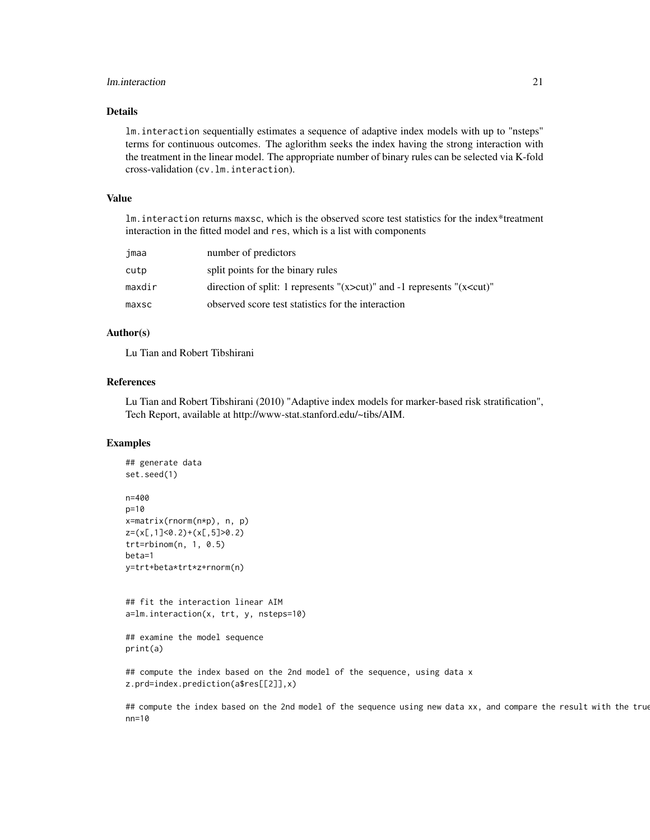## lm.interaction 21

#### Details

lm.interaction sequentially estimates a sequence of adaptive index models with up to "nsteps" terms for continuous outcomes. The aglorithm seeks the index having the strong interaction with the treatment in the linear model. The appropriate number of binary rules can be selected via K-fold cross-validation (cv.lm.interaction).

#### Value

lm.interaction returns maxsc, which is the observed score test statistics for the index\*treatment interaction in the fitted model and res, which is a list with components

| jmaa   | number of predictors                                                               |
|--------|------------------------------------------------------------------------------------|
| cutp   | split points for the binary rules                                                  |
| maxdir | direction of split: 1 represents " $(x > cut)$ " and -1 represents " $(x < cut)$ " |
| maxsc  | observed score test statistics for the interaction                                 |

#### Author(s)

Lu Tian and Robert Tibshirani

## References

Lu Tian and Robert Tibshirani (2010) "Adaptive index models for marker-based risk stratification", Tech Report, available at http://www-stat.stanford.edu/~tibs/AIM.

#### Examples

```
## generate data
set.seed(1)
n=400
p=10
x=matrix(rnorm(n*p), n, p)
z=(x[,1]<0.2)+(x[,5]>0.2)
trt=rbinom(n, 1, 0.5)
beta=1
y=trt+beta*trt*z+rnorm(n)
```
## fit the interaction linear AIM a=lm.interaction(x, trt, y, nsteps=10)

```
## examine the model sequence
print(a)
```
## compute the index based on the 2nd model of the sequence, using data x z.prd=index.prediction(a\$res[[2]],x)

## compute the index based on the 2nd model of the sequence using new data xx, and compare the result with the true nn=10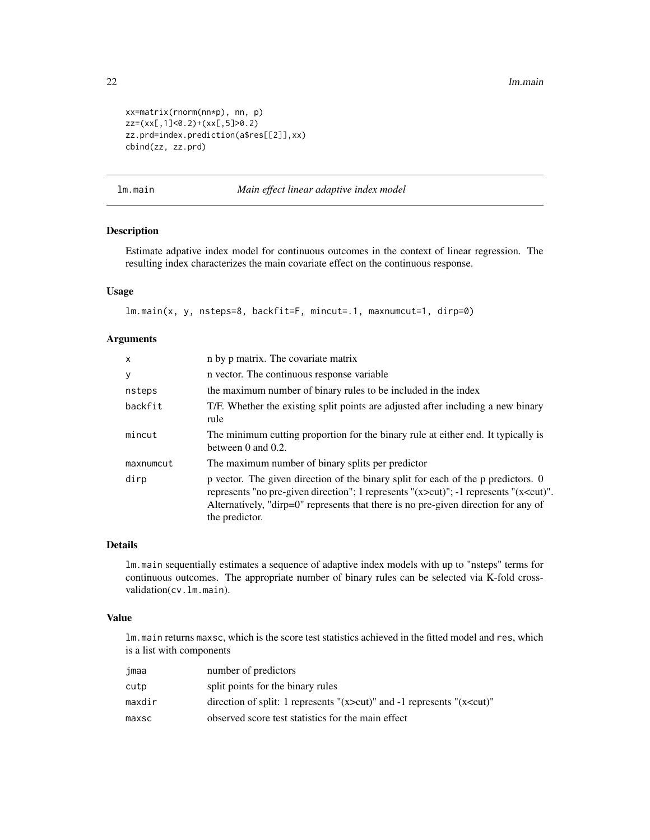```
xx=matrix(rnorm(nn*p), nn, p)
zz=(xx[,1]<0.2)+(xx[,5]>0.2)
zz.prd=index.prediction(a$res[[2]],xx)
cbind(zz, zz.prd)
```
lm.main *Main effect linear adaptive index model*

## Description

Estimate adpative index model for continuous outcomes in the context of linear regression. The resulting index characterizes the main covariate effect on the continuous response.

## Usage

lm.main(x, y, nsteps=8, backfit=F, mincut=.1, maxnumcut=1, dirp=0)

## Arguments

| $\mathsf{x}$ | n by p matrix. The covariate matrix                                                                                                                                                                                                                                                              |
|--------------|--------------------------------------------------------------------------------------------------------------------------------------------------------------------------------------------------------------------------------------------------------------------------------------------------|
| У            | n vector. The continuous response variable                                                                                                                                                                                                                                                       |
| nsteps       | the maximum number of binary rules to be included in the index                                                                                                                                                                                                                                   |
| backfit      | T/F. Whether the existing split points are adjusted after including a new binary<br>rule                                                                                                                                                                                                         |
| mincut       | The minimum cutting proportion for the binary rule at either end. It typically is<br>between $0$ and $0.2$ .                                                                                                                                                                                     |
| maxnumcut    | The maximum number of binary splits per predictor                                                                                                                                                                                                                                                |
| dirp         | p vector. The given direction of the binary split for each of the p predictors. 0<br>represents "no pre-given direction"; 1 represents "(x>cut)"; -1 represents "(x <cut)".<br>Alternatively, "dirp=0" represents that there is no pre-given direction for any of<br/>the predictor.</cut)".<br> |

## Details

lm.main sequentially estimates a sequence of adaptive index models with up to "nsteps" terms for continuous outcomes. The appropriate number of binary rules can be selected via K-fold crossvalidation(cv.lm.main).

#### Value

lm.main returns maxsc, which is the score test statistics achieved in the fitted model and res, which is a list with components

| jmaa   | number of predictors                                                               |
|--------|------------------------------------------------------------------------------------|
| cutp   | split points for the binary rules                                                  |
| maxdir | direction of split: 1 represents " $(x > cut)$ " and -1 represents " $(x < cut)$ " |
| maxsc  | observed score test statistics for the main effect                                 |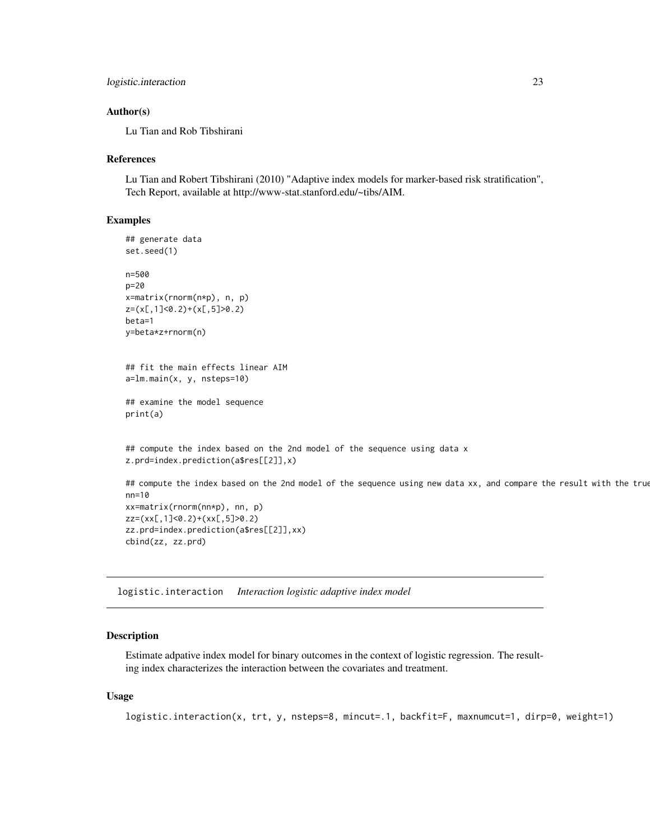```
logistic.interaction 23
```
#### Author(s)

Lu Tian and Rob Tibshirani

#### References

Lu Tian and Robert Tibshirani (2010) "Adaptive index models for marker-based risk stratification", Tech Report, available at http://www-stat.stanford.edu/~tibs/AIM.

#### Examples

```
## generate data
set.seed(1)
n=500
p=20
x=matrix(rnorm(n*p), n, p)
z=(x[,1]<0.2)+(x[,5]>0.2)
beta=1
y=beta*z+rnorm(n)
## fit the main effects linear AIM
a=lm.main(x, y, nsteps=10)
## examine the model sequence
print(a)
## compute the index based on the 2nd model of the sequence using data x
z.prd=index.prediction(a$res[[2]],x)
## compute the index based on the 2nd model of the sequence using new data xx, and compare the result with the true
nn=10
xx=matrix(rnorm(nn*p), nn, p)
zz=(xx[,1]<0.2)+(xx[,5]>0.2)
zz.prd=index.prediction(a$res[[2]],xx)
```
logistic.interaction *Interaction logistic adaptive index model*

## Description

cbind(zz, zz.prd)

Estimate adpative index model for binary outcomes in the context of logistic regression. The resulting index characterizes the interaction between the covariates and treatment.

#### Usage

```
logistic.interaction(x, trt, y, nsteps=8, mincut=.1, backfit=F, maxnumcut=1, dirp=0, weight=1)
```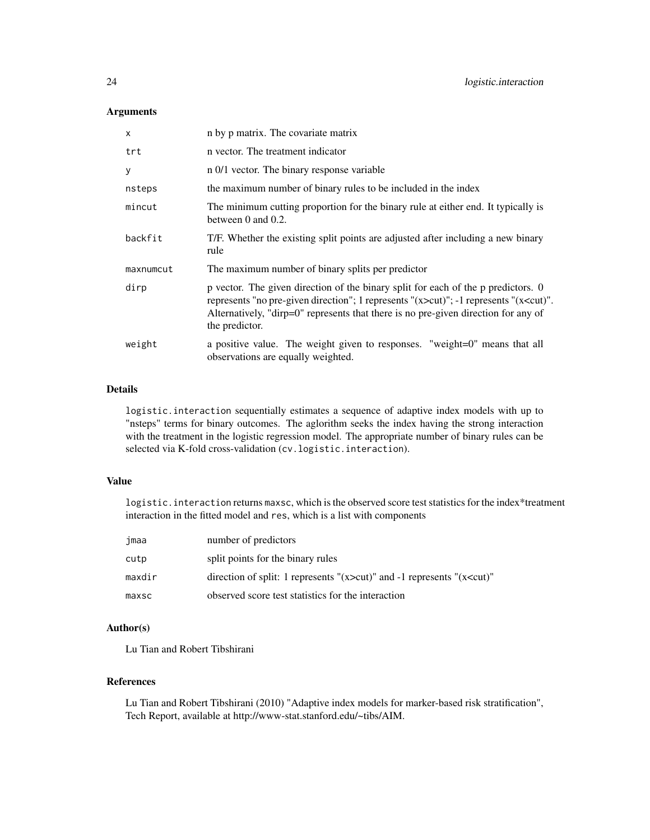## Arguments

| $\mathsf{x}$ | n by p matrix. The covariate matrix                                                                                                                                                                                                                                                            |
|--------------|------------------------------------------------------------------------------------------------------------------------------------------------------------------------------------------------------------------------------------------------------------------------------------------------|
| trt          | n vector. The treatment indicator                                                                                                                                                                                                                                                              |
| y            | n 0/1 vector. The binary response variable                                                                                                                                                                                                                                                     |
| nsteps       | the maximum number of binary rules to be included in the index                                                                                                                                                                                                                                 |
| mincut       | The minimum cutting proportion for the binary rule at either end. It typically is<br>between $0$ and $0.2$ .                                                                                                                                                                                   |
| backfit      | T/F. Whether the existing split points are adjusted after including a new binary<br>rule                                                                                                                                                                                                       |
| maxnumcut    | The maximum number of binary splits per predictor                                                                                                                                                                                                                                              |
| dirp         | p vector. The given direction of the binary split for each of the p predictors. 0<br>represents "no pre-given direction"; 1 represents " $(x > cut)$ "; -1 represents " $(x < cut)$ ".<br>Alternatively, "dirp=0" represents that there is no pre-given direction for any of<br>the predictor. |
| weight       | a positive value. The weight given to responses. "weight=0" means that all<br>observations are equally weighted.                                                                                                                                                                               |

## Details

logistic.interaction sequentially estimates a sequence of adaptive index models with up to "nsteps" terms for binary outcomes. The aglorithm seeks the index having the strong interaction with the treatment in the logistic regression model. The appropriate number of binary rules can be selected via K-fold cross-validation (cv.logistic.interaction).

## Value

logistic. interaction returns maxsc, which is the observed score test statistics for the index\*treatment interaction in the fitted model and res, which is a list with components

| jmaa   | number of predictors                                                               |
|--------|------------------------------------------------------------------------------------|
| cutp   | split points for the binary rules                                                  |
| maxdir | direction of split: 1 represents " $(x > cut)$ " and -1 represents " $(x < cut)$ " |
| maxsc  | observed score test statistics for the interaction                                 |

## Author(s)

Lu Tian and Robert Tibshirani

## References

Lu Tian and Robert Tibshirani (2010) "Adaptive index models for marker-based risk stratification", Tech Report, available at http://www-stat.stanford.edu/~tibs/AIM.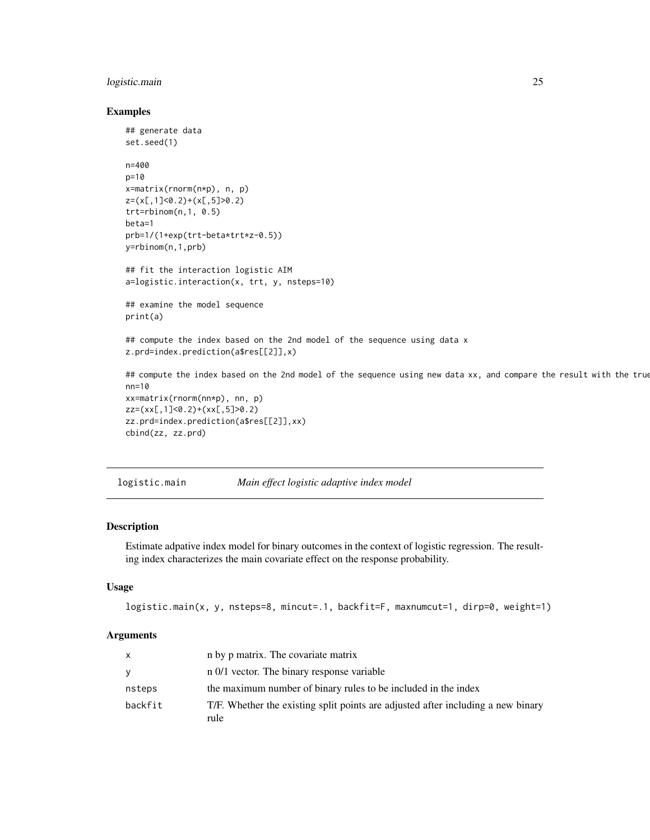## <span id="page-24-0"></span>logistic.main 25

#### Examples

```
## generate data
set.seed(1)
n=400
p=10
x=matrix(rnorm(n*p), n, p)
z=(x[,1]<0.2)+(x[,5]>0.2)
trt=rbinom(n,1, 0.5)
beta=1
prb=1/(1+exp(trt-beta*trt*z-0.5))
y=rbinom(n,1,prb)
## fit the interaction logistic AIM
a=logistic.interaction(x, trt, y, nsteps=10)
## examine the model sequence
print(a)
## compute the index based on the 2nd model of the sequence using data x
z.prd=index.prediction(a$res[[2]],x)
## compute the index based on the 2nd model of the sequence using new data xx, and compare the result with the true
nn=10
xx=matrix(rnorm(nn*p), nn, p)
zz=(xx[,1]<0.2)+(xx[,5]>0.2)
zz.prd=index.prediction(a$res[[2]],xx)
cbind(zz, zz.prd)
```

```
logistic.main Main effect logistic adaptive index model
```
#### Description

Estimate adpative index model for binary outcomes in the context of logistic regression. The resulting index characterizes the main covariate effect on the response probability.

#### Usage

```
logistic.main(x, y, nsteps=8, mincut=.1, backfit=F, maxnumcut=1, dirp=0, weight=1)
```

| X        | n by p matrix. The covariate matrix                                                      |
|----------|------------------------------------------------------------------------------------------|
| <b>V</b> | n 0/1 vector. The binary response variable                                               |
| nsteps   | the maximum number of binary rules to be included in the index                           |
| backfit  | T/F. Whether the existing split points are adjusted after including a new binary<br>rule |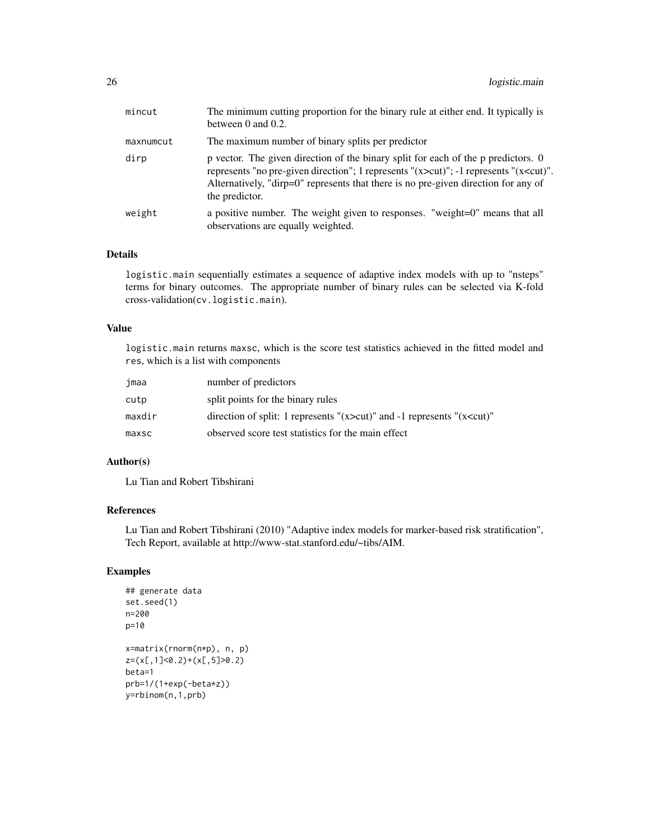| mincut    | The minimum cutting proportion for the binary rule at either end. It typically is<br>between 0 and 0.2.                                                                                                                                                                                        |
|-----------|------------------------------------------------------------------------------------------------------------------------------------------------------------------------------------------------------------------------------------------------------------------------------------------------|
| maxnumcut | The maximum number of binary splits per predictor                                                                                                                                                                                                                                              |
| dirp      | p vector. The given direction of the binary split for each of the p predictors. 0<br>represents "no pre-given direction"; 1 represents " $(x > cut)$ "; -1 represents " $(x < cut)$ ".<br>Alternatively, "dirp=0" represents that there is no pre-given direction for any of<br>the predictor. |
| weight    | a positive number. The weight given to responses. "weight=0" means that all<br>observations are equally weighted.                                                                                                                                                                              |

logistic.main sequentially estimates a sequence of adaptive index models with up to "nsteps" terms for binary outcomes. The appropriate number of binary rules can be selected via K-fold cross-validation(cv.logistic.main).

### Value

logistic.main returns maxsc, which is the score test statistics achieved in the fitted model and res, which is a list with components

| jmaa   | number of predictors                                                               |
|--------|------------------------------------------------------------------------------------|
| cutp   | split points for the binary rules                                                  |
| maxdir | direction of split: 1 represents " $(x > cut)$ " and -1 represents " $(x < cut)$ " |
| maxsc  | observed score test statistics for the main effect                                 |

## Author(s)

Lu Tian and Robert Tibshirani

## References

Lu Tian and Robert Tibshirani (2010) "Adaptive index models for marker-based risk stratification", Tech Report, available at http://www-stat.stanford.edu/~tibs/AIM.

## Examples

```
## generate data
set.seed(1)
n=200
p=10
x=matrix(rnorm(n*p), n, p)
z=(x[,1]<0.2)+(x[,5]>0.2)
beta=1
prb=1/(1+exp(-beta*z))
y=rbinom(n,1,prb)
```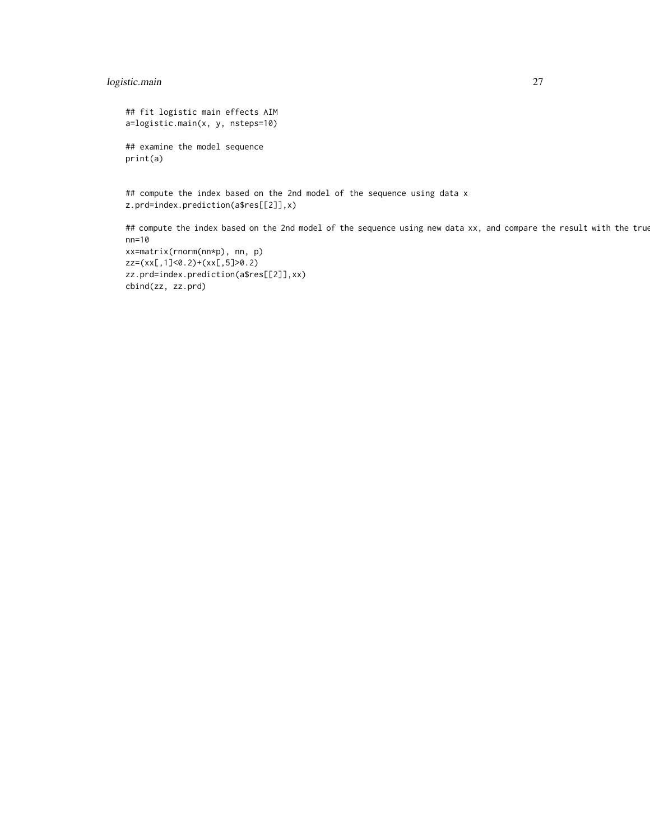## logistic.main 27

print(a)

```
## fit logistic main effects AIM
a=logistic.main(x, y, nsteps=10)
## examine the model sequence
```
## compute the index based on the 2nd model of the sequence using data x z.prd=index.prediction(a\$res[[2]],x)

## compute the index based on the 2nd model of the sequence using new data xx, and compare the result with the true nn=10 xx=matrix(rnorm(nn\*p), nn, p) zz=(xx[,1]<0.2)+(xx[,5]>0.2) zz.prd=index.prediction(a\$res[[2]],xx) cbind(zz, zz.prd)